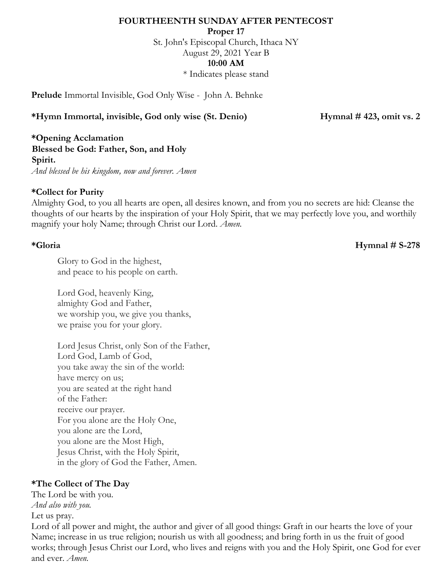## **FOURTHEENTH SUNDAY AFTER PENTECOST**

**Proper 17** St. John's Episcopal Church, Ithaca NY August 29, 2021 Year B **10:00 AM** \* Indicates please stand

**Prelude** Immortal Invisible, God Only Wise - John A. Behnke

## **\*Hymn Immortal, invisible, God only wise (St. Denio) Hymnal # 423, omit vs. 2**

**\*Opening Acclamation Blessed be God: Father, Son, and Holy Spirit.** *And blessed be his kingdom, now and forever. Amen*

## **\*Collect for Purity**

Almighty God, to you all hearts are open, all desires known, and from you no secrets are hid: Cleanse the thoughts of our hearts by the inspiration of your Holy Spirit, that we may perfectly love you, and worthily magnify your holy Name; through Christ our Lord. *Amen.*

Glory to God in the highest, and peace to his people on earth.

Lord God, heavenly King, almighty God and Father, we worship you, we give you thanks, we praise you for your glory.

Lord Jesus Christ, only Son of the Father, Lord God, Lamb of God, you take away the sin of the world: have mercy on us; you are seated at the right hand of the Father: receive our prayer. For you alone are the Holy One, you alone are the Lord, you alone are the Most High, Jesus Christ, with the Holy Spirit, in the glory of God the Father, Amen.

## **\*The Collect of The Day**

The Lord be with you.

*And also with you.*

## Let us pray.

Lord of all power and might, the author and giver of all good things: Graft in our hearts the love of your Name; increase in us true religion; nourish us with all goodness; and bring forth in us the fruit of good works; through Jesus Christ our Lord, who lives and reigns with you and the Holy Spirit, one God for ever and ever. *Amen.*

**\*Gloria Hymnal # S-278**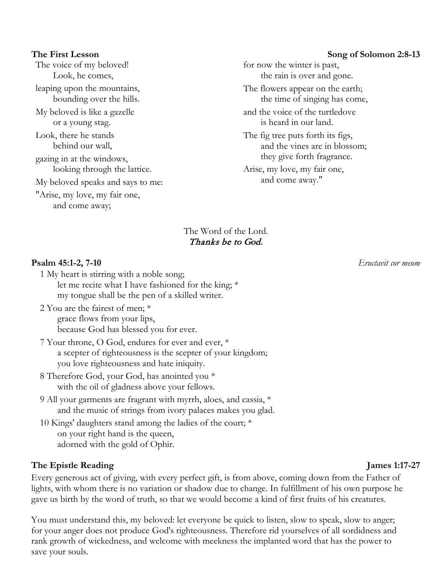The voice of my beloved! Look, he comes, leaping upon the mountains, bounding over the hills. My beloved is like a gazelle or a young stag. Look, there he stands behind our wall, gazing in at the windows, looking through the lattice. My beloved speaks and says to me: "Arise, my love, my fair one, and come away;

## The First Lesson Song of Solomon 2:8-13

for now the winter is past, the rain is over and gone.

The flowers appear on the earth; the time of singing has come,

and the voice of the turtledove is heard in our land.

The fig tree puts forth its figs, and the vines are in blossom; they give forth fragrance.

Arise, my love, my fair one, and come away."

## The Word of the Lord. Thanks be to God.

### **Psalm 45:1-2, 7-10** *Eructavit cor meum*

1 My heart is stirring with a noble song; let me recite what I have fashioned for the king; \* my tongue shall be the pen of a skilled writer.

2 You are the fairest of men; \* grace flows from your lips, because God has blessed you for ever.

7 Your throne, O God, endures for ever and ever, \* a scepter of righteousness is the scepter of your kingdom; you love righteousness and hate iniquity.

- 8 Therefore God, your God, has anointed you \* with the oil of gladness above your fellows.
- 9 All your garments are fragrant with myrrh, aloes, and cassia, \* and the music of strings from ivory palaces makes you glad.
- 10 Kings' daughters stand among the ladies of the court; \* on your right hand is the queen, adorned with the gold of Ophir.

### **The Epistle Reading Intervalse Server All Server All Server All Server All Server All Server All Server All Server All Server All Server All Server All Server All Server All Server All Server All Server All Server All Ser**

Every generous act of giving, with every perfect gift, is from above, coming down from the Father of lights, with whom there is no variation or shadow due to change. In fulfillment of his own purpose he gave us birth by the word of truth, so that we would become a kind of first fruits of his creatures.

You must understand this, my beloved: let everyone be quick to listen, slow to speak, slow to anger; for your anger does not produce God's righteousness. Therefore rid yourselves of all sordidness and rank growth of wickedness, and welcome with meekness the implanted word that has the power to save your souls.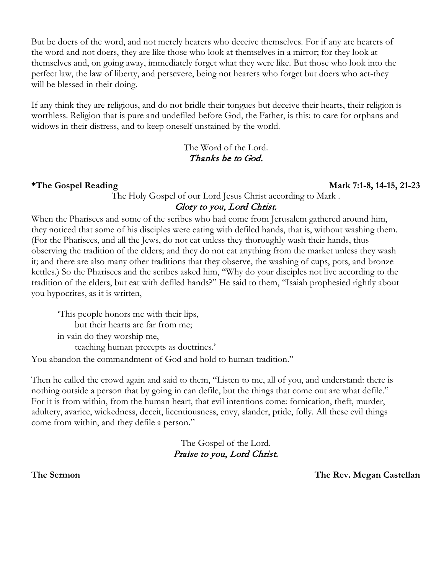But be doers of the word, and not merely hearers who deceive themselves. For if any are hearers of the word and not doers, they are like those who look at themselves in a mirror; for they look at themselves and, on going away, immediately forget what they were like. But those who look into the perfect law, the law of liberty, and persevere, being not hearers who forget but doers who act-they will be blessed in their doing.

If any think they are religious, and do not bridle their tongues but deceive their hearts, their religion is worthless. Religion that is pure and undefiled before God, the Father, is this: to care for orphans and widows in their distress, and to keep oneself unstained by the world.

> The Word of the Lord. Thanks be to God.

**\*The Gospel Reading Mark 7:1-8, 14-15, 21-23**

The Holy Gospel of our Lord Jesus Christ according to Mark . Glory to you, Lord Christ.

When the Pharisees and some of the scribes who had come from Jerusalem gathered around him, they noticed that some of his disciples were eating with defiled hands, that is, without washing them. (For the Pharisees, and all the Jews, do not eat unless they thoroughly wash their hands, thus observing the tradition of the elders; and they do not eat anything from the market unless they wash it; and there are also many other traditions that they observe, the washing of cups, pots, and bronze kettles.) So the Pharisees and the scribes asked him, "Why do your disciples not live according to the tradition of the elders, but eat with defiled hands?" He said to them, "Isaiah prophesied rightly about you hypocrites, as it is written,

'This people honors me with their lips, but their hearts are far from me; in vain do they worship me, teaching human precepts as doctrines.'

You abandon the commandment of God and hold to human tradition."

Then he called the crowd again and said to them, "Listen to me, all of you, and understand: there is nothing outside a person that by going in can defile, but the things that come out are what defile." For it is from within, from the human heart, that evil intentions come: fornication, theft, murder, adultery, avarice, wickedness, deceit, licentiousness, envy, slander, pride, folly. All these evil things come from within, and they defile a person."

> The Gospel of the Lord. Praise to you, Lord Christ.

**The Sermon The Rev. Megan Castellan**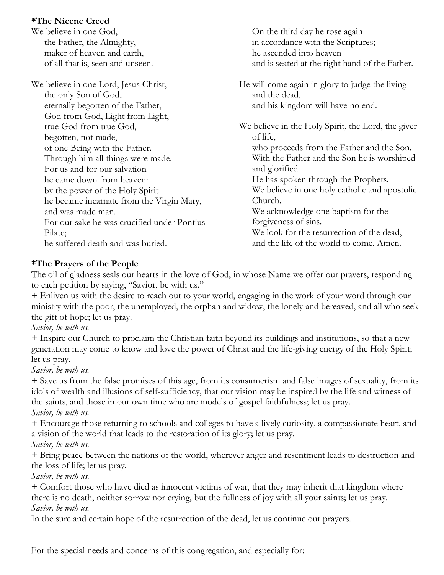## **\*The Nicene Creed**

We believe in one God, the Father, the Almighty, maker of heaven and earth, of all that is, seen and unseen.

We believe in one Lord, Jesus Christ, the only Son of God, eternally begotten of the Father, God from God, Light from Light, true God from true God, begotten, not made, of one Being with the Father. Through him all things were made. For us and for our salvation he came down from heaven: by the power of the Holy Spirit he became incarnate from the Virgin Mary, and was made man. For our sake he was crucified under Pontius Pilate; he suffered death and was buried.

On the third day he rose again in accordance with the Scriptures; he ascended into heaven and is seated at the right hand of the Father. He will come again in glory to judge the living and the dead, and his kingdom will have no end. We believe in the Holy Spirit, the Lord, the giver of life, who proceeds from the Father and the Son. With the Father and the Son he is worshiped and glorified. He has spoken through the Prophets. We believe in one holy catholic and apostolic Church. We acknowledge one baptism for the forgiveness of sins. We look for the resurrection of the dead, and the life of the world to come. Amen.

# **\*The Prayers of the People**

The oil of gladness seals our hearts in the love of God, in whose Name we offer our prayers, responding to each petition by saying, "Savior, be with us."

+ Enliven us with the desire to reach out to your world, engaging in the work of your word through our ministry with the poor, the unemployed, the orphan and widow, the lonely and bereaved, and all who seek the gift of hope; let us pray.

*Savior, be with us.*

+ Inspire our Church to proclaim the Christian faith beyond its buildings and institutions, so that a new generation may come to know and love the power of Christ and the life-giving energy of the Holy Spirit; let us pray.

## *Savior, be with us.*

+ Save us from the false promises of this age, from its consumerism and false images of sexuality, from its idols of wealth and illusions of self-sufficiency, that our vision may be inspired by the life and witness of the saints, and those in our own time who are models of gospel faithfulness; let us pray.

*Savior, be with us.*

+ Encourage those returning to schools and colleges to have a lively curiosity, a compassionate heart, and a vision of the world that leads to the restoration of its glory; let us pray.

## *Savior, be with us.*

+ Bring peace between the nations of the world, wherever anger and resentment leads to destruction and the loss of life; let us pray.

*Savior, be with us.*

+ Comfort those who have died as innocent victims of war, that they may inherit that kingdom where there is no death, neither sorrow nor crying, but the fullness of joy with all your saints; let us pray. *Savior, be with us.*

In the sure and certain hope of the resurrection of the dead, let us continue our prayers.

For the special needs and concerns of this congregation, and especially for: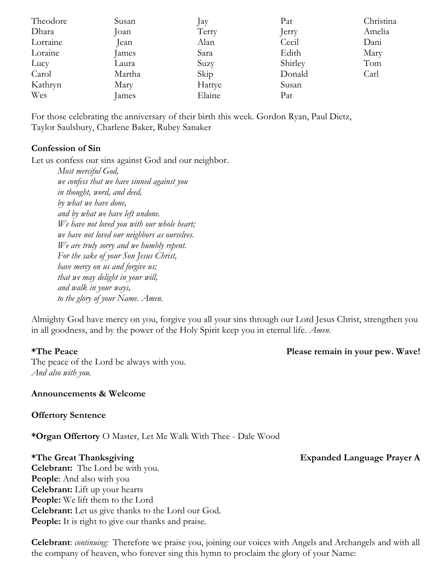| Theodore | Susan  | $\int ay$ | Pat     | Christina |
|----------|--------|-----------|---------|-----------|
| Dhara    | Joan   | Terry     | Jerry   | Amelia    |
| Lorraine | Jean   | Alan      | Cecil   | Dani      |
| Loraine  | James  | Sara      | Edith   | Mary      |
| Lucy     | Laura  | Suzy      | Shirley | Tom       |
| Carol    | Martha | Skip      | Donald  | Carl      |
| Kathryn  | Mary   | Hattye    | Susan   |           |
| Wes      | James  | Elaine    | Pat     |           |

For those celebrating the anniversary of their birth this week. Gordon Ryan, Paul Dietz, Taylor Saulsbury, Charlene Baker, Rubey Sanaker

## **Confession of Sin**

Let us confess our sins against God and our neighbor.

*Most merciful God, we confess that we have sinned against you in thought, word, and deed, by what we have done, and by what we have left undone. We have not loved you with our whole heart; we have not loved our neighbors as ourselves. We are truly sorry and we humbly repent. For the sake of your Son Jesus Christ, have mercy on us and forgive us; that we may delight in your will, and walk in your ways, to the glory of your Name. Amen.*

Almighty God have mercy on you, forgive you all your sins through our Lord Jesus Christ, strengthen you in all goodness, and by the power of the Holy Spirit keep you in eternal life. *Amen.*

### **\*The Peace Please remain in your pew. Wave!**

The peace of the Lord be always with you. *And also with you.*

### **Announcements & Welcome**

**Offertory Sentence** 

**\*Organ Offertory** O Master, Let Me Walk With Thee - Dale Wood

**Celebrant:** The Lord be with you. **People**: And also with you **Celebrant:** Lift up your hearts **People:** We lift them to the Lord **Celebrant:** Let us give thanks to the Lord our God. **People:** It is right to give our thanks and praise.

**Celebrant**: *continuing:* Therefore we praise you, joining our voices with Angels and Archangels and with all the company of heaven, who forever sing this hymn to proclaim the glory of your Name:

### **\*The Great Thanksgiving Expanded Language Prayer A**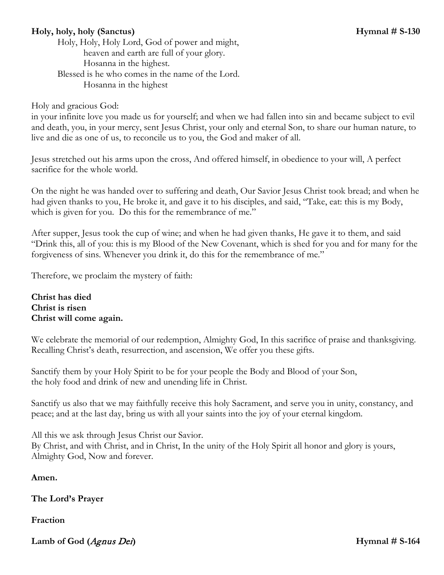## **Holy, holy, holy (Sanctus) Hymnal # S-130**

Holy, Holy, Holy Lord, God of power and might, heaven and earth are full of your glory. Hosanna in the highest. Blessed is he who comes in the name of the Lord. Hosanna in the highest

## Holy and gracious God:

in your infinite love you made us for yourself; and when we had fallen into sin and became subject to evil and death, you, in your mercy, sent Jesus Christ, your only and eternal Son, to share our human nature, to live and die as one of us, to reconcile us to you, the God and maker of all.

Jesus stretched out his arms upon the cross, And offered himself, in obedience to your will, A perfect sacrifice for the whole world.

On the night he was handed over to suffering and death, Our Savior Jesus Christ took bread; and when he had given thanks to you, He broke it, and gave it to his disciples, and said, "Take, eat: this is my Body, which is given for you. Do this for the remembrance of me."

After supper, Jesus took the cup of wine; and when he had given thanks, He gave it to them, and said "Drink this, all of you: this is my Blood of the New Covenant, which is shed for you and for many for the forgiveness of sins. Whenever you drink it, do this for the remembrance of me."

Therefore, we proclaim the mystery of faith:

## **Christ has died Christ is risen Christ will come again.**

We celebrate the memorial of our redemption, Almighty God, In this sacrifice of praise and thanksgiving. Recalling Christ's death, resurrection, and ascension, We offer you these gifts.

Sanctify them by your Holy Spirit to be for your people the Body and Blood of your Son, the holy food and drink of new and unending life in Christ.

Sanctify us also that we may faithfully receive this holy Sacrament, and serve you in unity, constancy, and peace; and at the last day, bring us with all your saints into the joy of your eternal kingdom.

All this we ask through Jesus Christ our Savior.

By Christ, and with Christ, and in Christ, In the unity of the Holy Spirit all honor and glory is yours, Almighty God, Now and forever.

## **Amen.**

## **The Lord's Prayer**

## **Fraction**

**Lamb of God (**Agnus Dei**) Hymnal # S-164**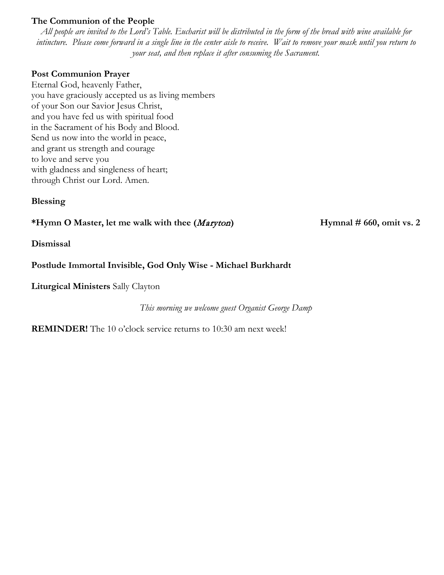## **The Communion of the People**

*All people are invited to the Lord's Table. Eucharist will be distributed in the form of the bread with wine available for intincture. Please come forward in a single line in the center aisle to receive. Wait to remove your mask until you return to your seat, and then replace it after consuming the Sacrament.* 

## **Post Communion Prayer**

Eternal God, heavenly Father, you have graciously accepted us as living members of your Son our Savior Jesus Christ, and you have fed us with spiritual food in the Sacrament of his Body and Blood. Send us now into the world in peace, and grant us strength and courage to love and serve you with gladness and singleness of heart; through Christ our Lord. Amen.

## **Blessing**

**\*Hymn O Master, let me walk with thee (**Maryton**) Hymnal # 660, omit vs. 2**

**Dismissal**

## **Postlude Immortal Invisible, God Only Wise - Michael Burkhardt**

**Liturgical Ministers** Sally Clayton

*This morning we welcome guest Organist George Damp*

**REMINDER!** The 10 o'clock service returns to 10:30 am next week!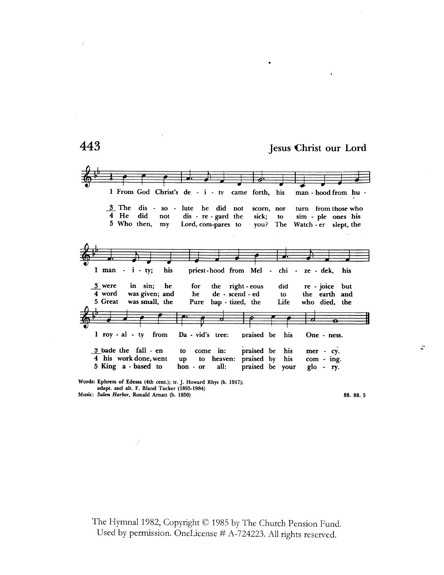Jesus Christ our Lord



Words: Ephrem of Edessa (4th cent.); tr. J. Howard Rhys (b. 1917); adapt. and alt. F. Bland Tucker (1895-1984) Music: Salem Harbor, Ronald Arnatt (b. 1930)

 $\mathcal{I}$ 

88.88.5

 $\stackrel{\leftrightarrow}{\ast}$ 

The Hymnal 1982, Copyright © 1985 by The Church Pension Fund. Used by permission. OneLicense # A-724223. All rights reserved.

443

J.

J.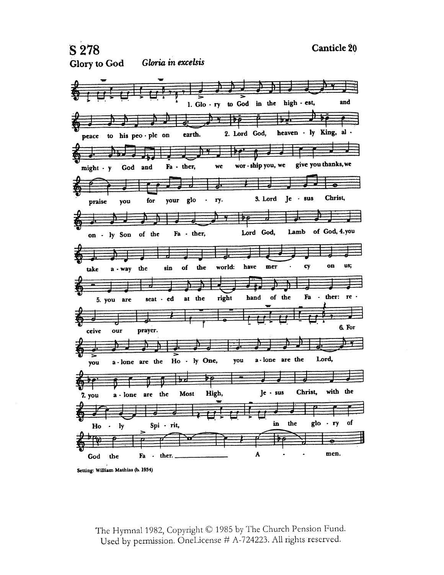

Setting: William Mathias (b. 1934)

S 278

The Hymnal 1982, Copyright C 1985 by The Church Pension Fund. Used by permission. OneLicense # A-724223. All rights reserved.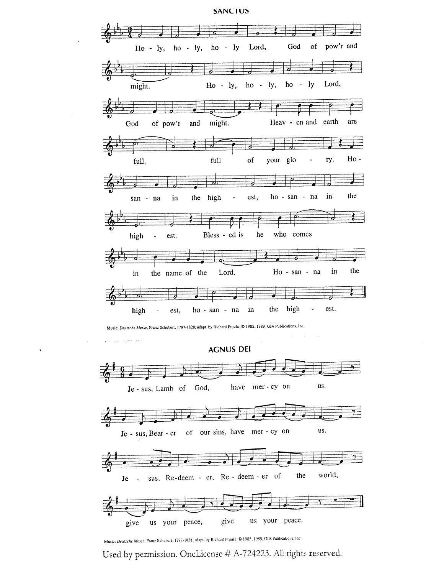### **SANCIUS**



Music: Deutsche Messe, Franz Schubert, 1797-1828; adapt. by Richard Proulx, @ 1985, 1989, GIA Publications, Inc.

 $\sim$   $\sim$   $\sim$ 

 $\ddot{\phantom{0}}$ 

**AGNUS DEI** have mer-cy on Je - sus, Lamb of God, us. Je - sus, Bear - er of our sins, have mer - cy on us. sus, Re-deem - er, Re - deem - er of world, the  $Je$  give us your peace. us your peace, give

Music: Deutsche Messe, Franz Schubert, 1797-1828, adapt. by Richard Proulx, © 1985, 1989, GIA Publications, Inc.

Used by permission. OneLicense # A-724223. All rights reserved.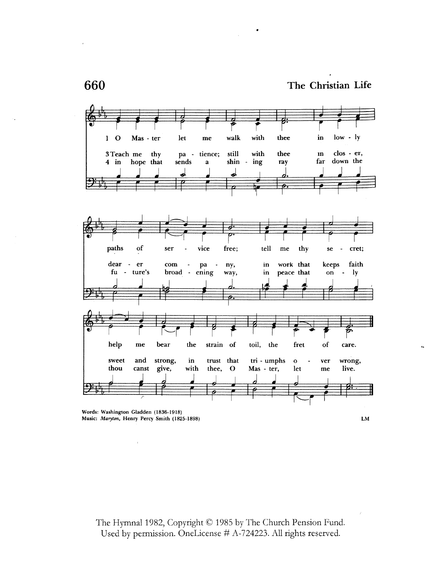${\bf L} {\bf M}$ 



Words: Washington Gladden (1836-1918) Music: Maryton, Henry Percy Smith (1825-1898)

> The Hymnal 1982, Copyright © 1985 by The Church Pension Fund. Used by permission. OneLicense # A-724223. All rights reserved.